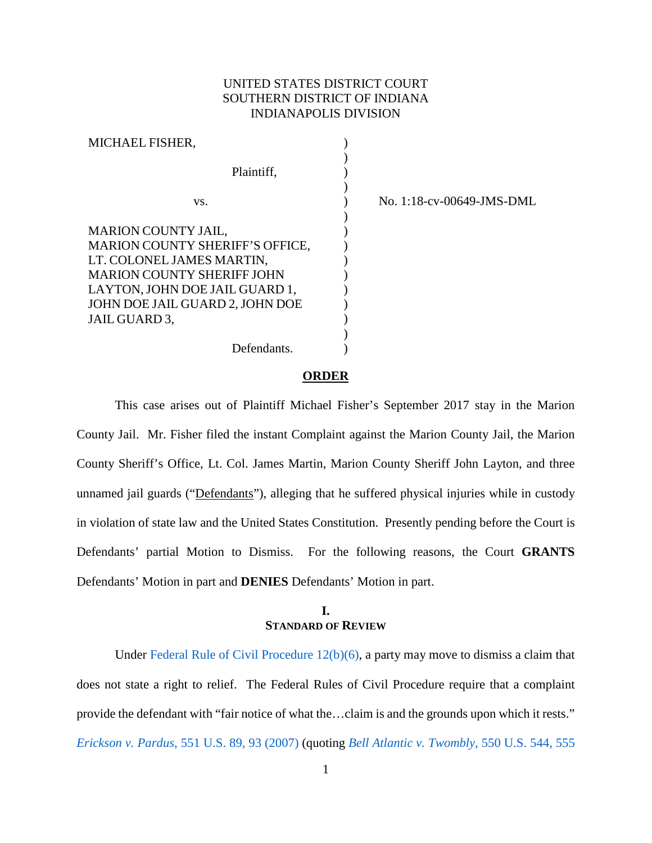# UNITED STATES DISTRICT COURT SOUTHERN DISTRICT OF INDIANA INDIANAPOLIS DIVISION

| MICHAEL FISHER,                        |  |
|----------------------------------------|--|
|                                        |  |
| Plaintiff.                             |  |
|                                        |  |
| VS.                                    |  |
|                                        |  |
| <b>MARION COUNTY JAIL,</b>             |  |
| <b>MARION COUNTY SHERIFF'S OFFICE,</b> |  |
| LT. COLONEL JAMES MARTIN,              |  |
| <b>MARION COUNTY SHERIFF JOHN</b>      |  |
| LAYTON, JOHN DOE JAIL GUARD 1,         |  |
| JOHN DOE JAIL GUARD 2, JOHN DOE        |  |
| JAIL GUARD 3,                          |  |
|                                        |  |
| Defendants.                            |  |

No. 1:18-cv-00649-JMS-DML

#### **ORDER**

This case arises out of Plaintiff Michael Fisher's September 2017 stay in the Marion County Jail. Mr. Fisher filed the instant Complaint against the Marion County Jail, the Marion County Sheriff's Office, Lt. Col. James Martin, Marion County Sheriff John Layton, and three unnamed jail guards ("Defendants"), alleging that he suffered physical injuries while in custody in violation of state law and the United States Constitution. Presently pending before the Court is Defendants' partial Motion to Dismiss. For the following reasons, the Court **GRANTS** Defendants' Motion in part and **DENIES** Defendants' Motion in part.

# **I. STANDARD OF REVIEW**

Under [Federal Rule of Civil Procedure 12\(b\)\(6\),](https://www.westlaw.com/Document/N96C8CD1043A111DC8D9EC9ECEEDEF2EE/View/FullText.html?transitionType=Default&contextData=(sc.Default)&VR=3.0&RS=da3.0) a party may move to dismiss a claim that does not state a right to relief. The Federal Rules of Civil Procedure require that a complaint provide the defendant with "fair notice of what the…claim is and the grounds upon which it rests." *Erickson v. Pardus*[, 551 U.S. 89, 93 \(2007\)](https://www.westlaw.com/Document/I71a59acb125911dc962ef0ed15906072/View/FullText.html?transitionType=Default&contextData=(sc.Default)&VR=3.0&RS=da3.0&fragmentIdentifier=co_pp_sp_780_93) (quoting *[Bell Atlantic v. Twombly](https://www.westlaw.com/Document/Ib53eb62e07a011dcb035bac3a32ef289/View/FullText.html?transitionType=Default&contextData=(sc.Default)&VR=3.0&RS=da3.0&fragmentIdentifier=co_pp_sp_780_555)*, 550 U.S. 544, 555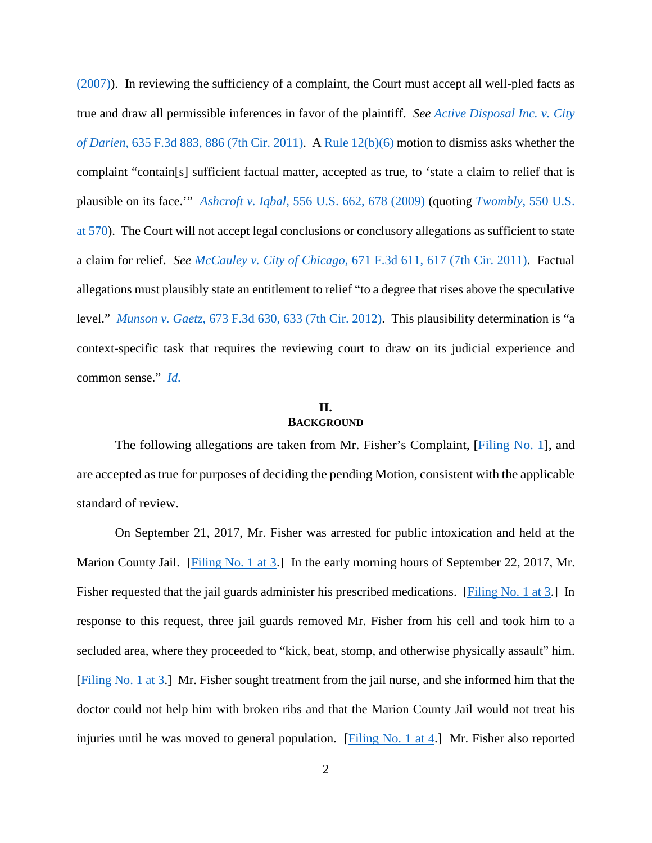[\(2007\)\)](https://www.westlaw.com/Document/Ib53eb62e07a011dcb035bac3a32ef289/View/FullText.html?transitionType=Default&contextData=(sc.Default)&VR=3.0&RS=da3.0&fragmentIdentifier=co_pp_sp_780_555). In reviewing the sufficiency of a complaint, the Court must accept all well-pled facts as true and draw all permissible inferences in favor of the plaintiff. *See [Active Disposal Inc. v. City](https://www.westlaw.com/Document/Ic45182d94e3e11e0a982f2e73586a872/View/FullText.html?transitionType=Default&contextData=(sc.Default)&VR=3.0&RS=da3.0&fragmentIdentifier=co_pp_sp_506_886)  of Darien*[, 635 F.3d 883, 886 \(7th Cir. 2011\).](https://www.westlaw.com/Document/Ic45182d94e3e11e0a982f2e73586a872/View/FullText.html?transitionType=Default&contextData=(sc.Default)&VR=3.0&RS=da3.0&fragmentIdentifier=co_pp_sp_506_886) A [Rule 12\(b\)\(6\)](https://www.westlaw.com/Document/N96C8CD1043A111DC8D9EC9ECEEDEF2EE/View/FullText.html?transitionType=Default&contextData=(sc.Default)&VR=3.0&RS=da3.0) motion to dismiss asks whether the complaint "contain[s] sufficient factual matter, accepted as true, to 'state a claim to relief that is plausible on its face.'" *Ashcroft v. Iqbal*[, 556 U.S. 662, 678 \(2009\)](https://www.westlaw.com/Document/I90623386439011de8bf6cd8525c41437/View/FullText.html?transitionType=Default&contextData=(sc.Default)&VR=3.0&RS=da3.0&fragmentIdentifier=co_pp_sp_780_678) (quoting *Twombly*[, 550 U.S.](https://www.westlaw.com/Document/Ib53eb62e07a011dcb035bac3a32ef289/View/FullText.html?transitionType=Default&contextData=(sc.Default)&VR=3.0&RS=da3.0&fragmentIdentifier=co_pp_sp_780_570)  [at 570\)](https://www.westlaw.com/Document/Ib53eb62e07a011dcb035bac3a32ef289/View/FullText.html?transitionType=Default&contextData=(sc.Default)&VR=3.0&RS=da3.0&fragmentIdentifier=co_pp_sp_780_570). The Court will not accept legal conclusions or conclusory allegations as sufficient to state a claim for relief. *See McCauley v. City of Chicago*[, 671 F.3d 611, 617 \(7th Cir. 2011\).](https://www.westlaw.com/Document/Ie43c9a6ffb2a11e0bc27967e57e99458/View/FullText.html?transitionType=Default&contextData=(sc.Default)&VR=3.0&RS=da3.0&fragmentIdentifier=co_pp_sp_506_617) Factual allegations must plausibly state an entitlement to relief "to a degree that rises above the speculative level." *Munson v. Gaetz*[, 673 F.3d 630, 633 \(7th Cir. 2012\).](https://www.westlaw.com/Document/I84dde09969eb11e1be29b2facdefeebe/View/FullText.html?transitionType=Default&contextData=(sc.Default)&VR=3.0&RS=da3.0&fragmentIdentifier=co_pp_sp_506_633) This plausibility determination is "a context-specific task that requires the reviewing court to draw on its judicial experience and common sense." *[Id.](https://www.westlaw.com/Document/I84dde09969eb11e1be29b2facdefeebe/View/FullText.html?transitionType=Default&contextData=(sc.Default)&VR=3.0&RS=da3.0)*

### **II. BACKGROUND**

The following allegations are taken from Mr. Fisher's Complaint, [\[Filing No. 1\]](https://ecf.insd.uscourts.gov/doc1/07316453968), and are accepted as true for purposes of deciding the pending Motion, consistent with the applicable standard of review.

On September 21, 2017, Mr. Fisher was arrested for public intoxication and held at the Marion County Jail. [\[Filing No. 1 at 3.](https://ecf.insd.uscourts.gov/doc1/07316453968?page=3)] In the early morning hours of September 22, 2017, Mr. Fisher requested that the jail guards administer his prescribed medications. [\[Filing No. 1 at 3.](https://ecf.insd.uscourts.gov/doc1/07316453968?page=3)] In response to this request, three jail guards removed Mr. Fisher from his cell and took him to a secluded area, where they proceeded to "kick, beat, stomp, and otherwise physically assault" him. [\[Filing No. 1 at 3.](https://ecf.insd.uscourts.gov/doc1/07316453968?page=3)] Mr. Fisher sought treatment from the jail nurse, and she informed him that the doctor could not help him with broken ribs and that the Marion County Jail would not treat his injuries until he was moved to general population. [\[Filing No. 1 at 4.](https://ecf.insd.uscourts.gov/doc1/07316453968?page=4)] Mr. Fisher also reported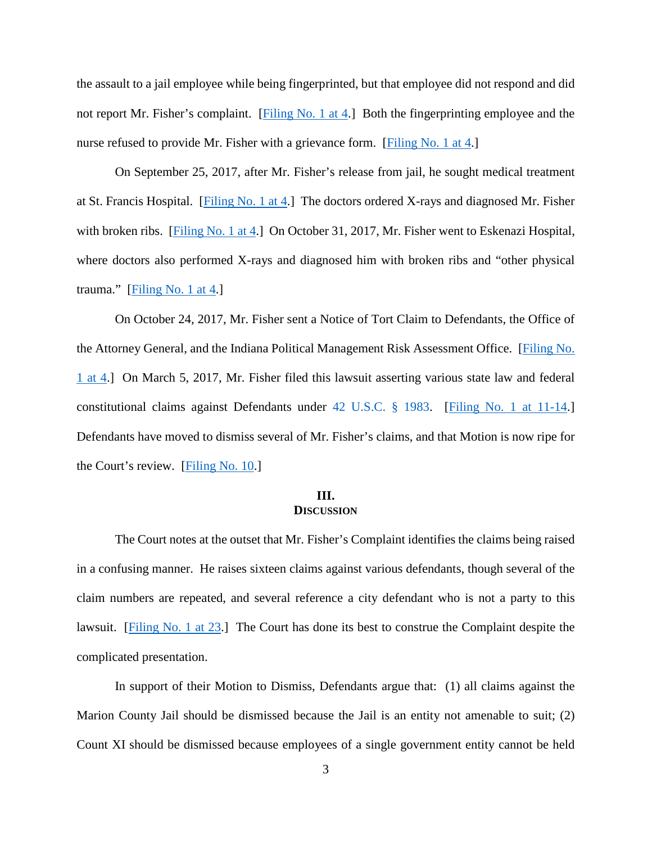the assault to a jail employee while being fingerprinted, but that employee did not respond and did not report Mr. Fisher's complaint. [\[Filing No. 1 at 4.](https://ecf.insd.uscourts.gov/doc1/07316453968?page=4)] Both the fingerprinting employee and the nurse refused to provide Mr. Fisher with a grievance form. [\[Filing No. 1 at 4.](https://ecf.insd.uscourts.gov/doc1/07316453968?page=4)]

On September 25, 2017, after Mr. Fisher's release from jail, he sought medical treatment at St. Francis Hospital. [\[Filing No. 1 at 4.](https://ecf.insd.uscourts.gov/doc1/07316453968?page=4)] The doctors ordered X-rays and diagnosed Mr. Fisher with broken ribs. [\[Filing No. 1 at 4.](https://ecf.insd.uscourts.gov/doc1/07316453968?page=4)] On October 31, 2017, Mr. Fisher went to Eskenazi Hospital, where doctors also performed X-rays and diagnosed him with broken ribs and "other physical trauma." [\[Filing No. 1 at 4.](https://ecf.insd.uscourts.gov/doc1/07316453968?page=4)]

On October 24, 2017, Mr. Fisher sent a Notice of Tort Claim to Defendants, the Office of the Attorney General, and the Indiana Political Management Risk Assessment Office. [\[Filing No.](https://ecf.insd.uscourts.gov/doc1/07316453968?page=4)  [1 at 4.](https://ecf.insd.uscourts.gov/doc1/07316453968?page=4)] On March 5, 2017, Mr. Fisher filed this lawsuit asserting various state law and federal constitutional claims against Defendants under [42 U.S.C. § 1983.](https://www.westlaw.com/Document/NDFE80F60AFF711D8803AE0632FEDDFBF/View/FullText.html?transitionType=Default&contextData=(sc.Default)&VR=3.0&RS=da3.0) [\[Filing No. 1 at 11-14.](https://ecf.insd.uscourts.gov/doc1/07316453968?page=11)] Defendants have moved to dismiss several of Mr. Fisher's claims, and that Motion is now ripe for the Court's review. [\[Filing No. 10.](https://ecf.insd.uscourts.gov/doc1/07316566752)]

# **III. DISCUSSION**

The Court notes at the outset that Mr. Fisher's Complaint identifies the claims being raised in a confusing manner. He raises sixteen claims against various defendants, though several of the claim numbers are repeated, and several reference a city defendant who is not a party to this lawsuit. [\[Filing No. 1 at 23.](https://ecf.insd.uscourts.gov/doc1/07316453968?page=23)] The Court has done its best to construe the Complaint despite the complicated presentation.

In support of their Motion to Dismiss, Defendants argue that: (1) all claims against the Marion County Jail should be dismissed because the Jail is an entity not amenable to suit; (2) Count XI should be dismissed because employees of a single government entity cannot be held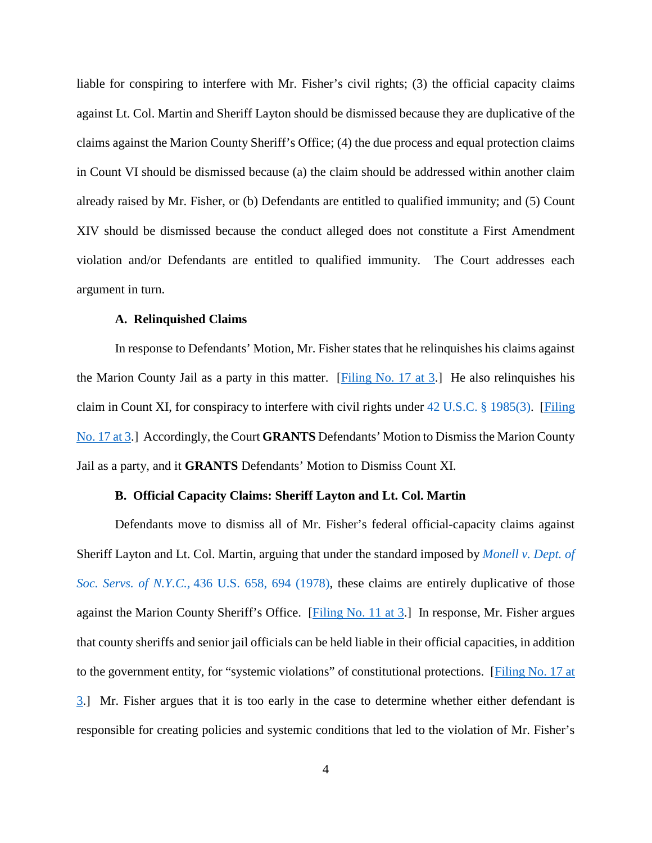liable for conspiring to interfere with Mr. Fisher's civil rights; (3) the official capacity claims against Lt. Col. Martin and Sheriff Layton should be dismissed because they are duplicative of the claims against the Marion County Sheriff's Office; (4) the due process and equal protection claims in Count VI should be dismissed because (a) the claim should be addressed within another claim already raised by Mr. Fisher, or (b) Defendants are entitled to qualified immunity; and (5) Count XIV should be dismissed because the conduct alleged does not constitute a First Amendment violation and/or Defendants are entitled to qualified immunity. The Court addresses each argument in turn.

#### **A. Relinquished Claims**

In response to Defendants' Motion, Mr. Fisher states that he relinquishes his claims against the Marion County Jail as a party in this matter. [\[Filing No. 17 at 3.](https://ecf.insd.uscourts.gov/doc1/07316643640?page=3)] He also relinquishes his claim in Count XI, for conspiracy to interfere with civil rights under [42 U.S.C. § 1985\(3\).](https://www.westlaw.com/Document/NE834FFC0AFF711D8803AE0632FEDDFBF/View/FullText.html?transitionType=Default&contextData=(sc.Default)&VR=3.0&RS=da3.0) [\[Filing](https://ecf.insd.uscourts.gov/doc1/07316643640?page=3)  [No. 17 at 3.](https://ecf.insd.uscourts.gov/doc1/07316643640?page=3)] Accordingly, the Court **GRANTS** Defendants' Motion to Dismiss the Marion County Jail as a party, and it **GRANTS** Defendants' Motion to Dismiss Count XI.

#### **B. Official Capacity Claims: Sheriff Layton and Lt. Col. Martin**

Defendants move to dismiss all of Mr. Fisher's federal official-capacity claims against Sheriff Layton and Lt. Col. Martin, arguing that under the standard imposed by *[Monell v. Dept. of](https://www.westlaw.com/Document/I6184263e9c1f11d9bc61beebb95be672/View/FullText.html?transitionType=Default&contextData=(sc.Default)&VR=3.0&RS=da3.0&fragmentIdentifier=co_pp_sp_780_658%2c+694)  [Soc. Servs. of N.Y.C.,](https://www.westlaw.com/Document/I6184263e9c1f11d9bc61beebb95be672/View/FullText.html?transitionType=Default&contextData=(sc.Default)&VR=3.0&RS=da3.0&fragmentIdentifier=co_pp_sp_780_658%2c+694)* 436 U.S. 658, 694 (1978), these claims are entirely duplicative of those against the Marion County Sheriff's Office. [\[Filing No. 11 at 3.](https://ecf.insd.uscourts.gov/doc1/07316566756?page=3)] In response, Mr. Fisher argues that county sheriffs and senior jail officials can be held liable in their official capacities, in addition to the government entity, for "systemic violations" of constitutional protections. [\[Filing No. 17 at](https://ecf.insd.uscourts.gov/doc1/07316643640?page=3)  [3.](https://ecf.insd.uscourts.gov/doc1/07316643640?page=3)] Mr. Fisher argues that it is too early in the case to determine whether either defendant is responsible for creating policies and systemic conditions that led to the violation of Mr. Fisher's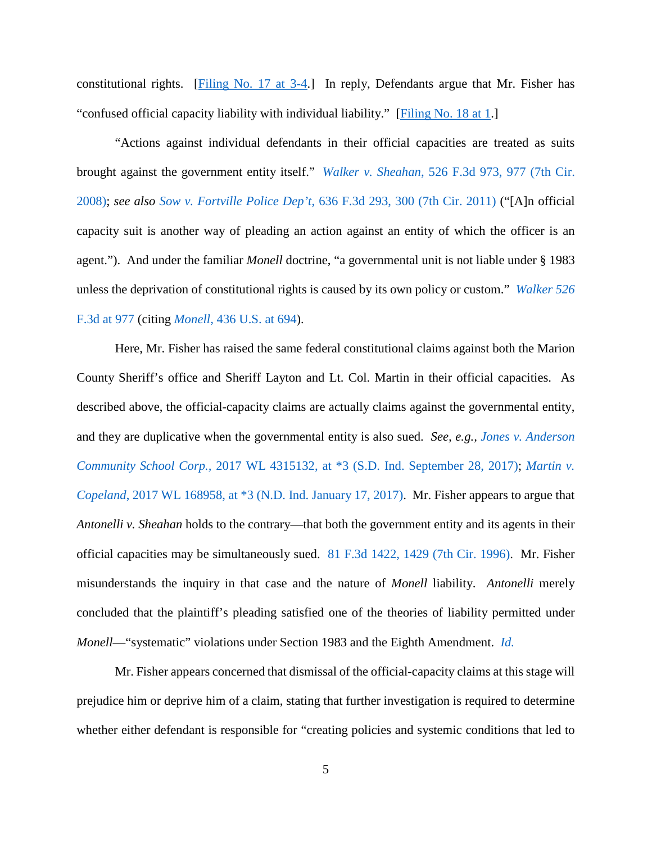constitutional rights. [\[Filing No. 17 at 3-4.](https://ecf.insd.uscourts.gov/doc1/07316643640?page=3)] In reply, Defendants argue that Mr. Fisher has "confused official capacity liability with individual liability." [\[Filing No. 18 at 1.](https://ecf.insd.uscourts.gov/doc1/07316653799?page=1)]

"Actions against individual defendants in their official capacities are treated as suits brought against the government entity itself." *Walker v. Sheahan*[, 526 F.3d 973, 977 \(7th Cir.](https://www.westlaw.com/Document/I66a9d2fd21d111dd8dba9deb08599717/View/FullText.html?transitionType=Default&contextData=(sc.Default)&VR=3.0&RS=da3.0&fragmentIdentifier=co_pp_sp_506_977)  [2008\);](https://www.westlaw.com/Document/I66a9d2fd21d111dd8dba9deb08599717/View/FullText.html?transitionType=Default&contextData=(sc.Default)&VR=3.0&RS=da3.0&fragmentIdentifier=co_pp_sp_506_977) *see also Sow v. Fortville Police Dep't*[, 636 F.3d 293, 300 \(7th Cir. 2011\)](https://www.westlaw.com/Document/Idbbc297735d611e088699d6fd571daba/View/FullText.html?transitionType=Default&contextData=(sc.Default)&VR=3.0&RS=da3.0&fragmentIdentifier=co_pp_sp_506_300) ("[A]n official capacity suit is another way of pleading an action against an entity of which the officer is an agent."). And under the familiar *Monell* doctrine, "a governmental unit is not liable under § 1983 unless the deprivation of constitutional rights is caused by its own policy or custom." *[Walker 526](https://www.westlaw.com/Document/I66a9d2fd21d111dd8dba9deb08599717/View/FullText.html?transitionType=Default&contextData=(sc.Default)&VR=3.0&RS=da3.0&fragmentIdentifier=co_pp_sp_506_977)*  [F.3d at 977](https://www.westlaw.com/Document/I66a9d2fd21d111dd8dba9deb08599717/View/FullText.html?transitionType=Default&contextData=(sc.Default)&VR=3.0&RS=da3.0&fragmentIdentifier=co_pp_sp_506_977) (citing *Monell,* [436 U.S. at 694\)](https://www.westlaw.com/Document/I6184263e9c1f11d9bc61beebb95be672/View/FullText.html?transitionType=Default&contextData=(sc.Default)&VR=3.0&RS=da3.0&fragmentIdentifier=co_pp_sp_780_658%2c+694).

Here, Mr. Fisher has raised the same federal constitutional claims against both the Marion County Sheriff's office and Sheriff Layton and Lt. Col. Martin in their official capacities. As described above, the official-capacity claims are actually claims against the governmental entity, and they are duplicative when the governmental entity is also sued. *See, e.g., [Jones v. Anderson](https://www.westlaw.com/Document/I5b62f680a4ce11e792fdd763512bbe26/View/FullText.html?transitionType=Default&contextData=(sc.Default)&VR=3.0&RS=da3.0&fragmentIdentifier=co_pp_sp_999_3)  Community School Corp.,* [2017 WL 4315132, at \\*3 \(S.D. Ind. September 28, 2017\);](https://www.westlaw.com/Document/I5b62f680a4ce11e792fdd763512bbe26/View/FullText.html?transitionType=Default&contextData=(sc.Default)&VR=3.0&RS=da3.0&fragmentIdentifier=co_pp_sp_999_3) *[Martin v.](https://www.westlaw.com/Document/I0127e0b0dd5811e6ae36ba8bbc8f4702/View/FullText.html?transitionType=Default&contextData=(sc.Default)&VR=3.0&RS=da3.0&fragmentIdentifier=co_pp_sp_999_3)  Copeland*[, 2017 WL 168958, at \\*3 \(N.D. Ind. January 17, 2017\).](https://www.westlaw.com/Document/I0127e0b0dd5811e6ae36ba8bbc8f4702/View/FullText.html?transitionType=Default&contextData=(sc.Default)&VR=3.0&RS=da3.0&fragmentIdentifier=co_pp_sp_999_3) Mr. Fisher appears to argue that *Antonelli v. Sheahan* holds to the contrary—that both the government entity and its agents in their official capacities may be simultaneously sued. [81 F.3d 1422, 1429 \(7th Cir. 1996\).](https://www.westlaw.com/Document/Iacb47fb192b011d9a707f4371c9c34f0/View/FullText.html?transitionType=Default&contextData=(sc.Default)&VR=3.0&RS=da3.0&fragmentIdentifier=co_pp_sp_506_1429) Mr. Fisher misunderstands the inquiry in that case and the nature of *Monell* liability. *Antonelli* merely concluded that the plaintiff's pleading satisfied one of the theories of liability permitted under *Monell*—"systematic" violations under Section 1983 and the Eighth Amendment. *[Id.](https://www.westlaw.com/Document/Iacb47fb192b011d9a707f4371c9c34f0/View/FullText.html?transitionType=Default&contextData=(sc.Default)&VR=3.0&RS=da3.0)* 

Mr. Fisher appears concerned that dismissal of the official-capacity claims at this stage will prejudice him or deprive him of a claim, stating that further investigation is required to determine whether either defendant is responsible for "creating policies and systemic conditions that led to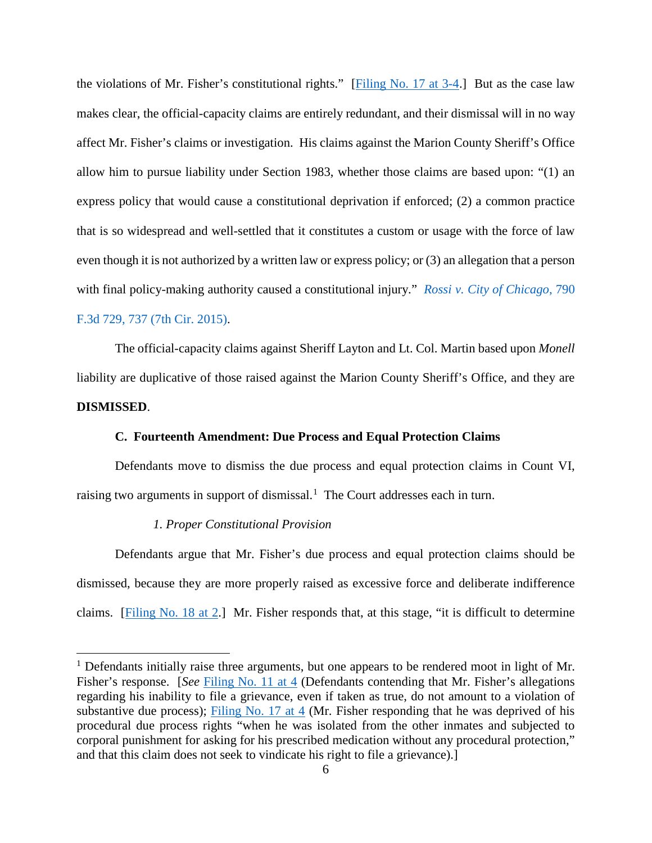the violations of Mr. Fisher's constitutional rights."  $[Figure No. 17 at 3-4.]$  But as the case law makes clear, the official-capacity claims are entirely redundant, and their dismissal will in no way affect Mr. Fisher's claims or investigation. His claims against the Marion County Sheriff's Office allow him to pursue liability under Section 1983, whether those claims are based upon: "(1) an express policy that would cause a constitutional deprivation if enforced; (2) a common practice that is so widespread and well-settled that it constitutes a custom or usage with the force of law even though it is not authorized by a written law or express policy; or (3) an allegation that a person with final policy-making authority caused a constitutional injury." *[Rossi v. City of Chicago](https://www.westlaw.com/Document/I6b6ecf0118fb11e5a807ad48145ed9f1/View/FullText.html?transitionType=Default&contextData=(sc.Default)&VR=3.0&RS=da3.0&fragmentIdentifier=co_pp_sp_506_737)*, 790 [F.3d 729, 737 \(7th Cir. 2015\).](https://www.westlaw.com/Document/I6b6ecf0118fb11e5a807ad48145ed9f1/View/FullText.html?transitionType=Default&contextData=(sc.Default)&VR=3.0&RS=da3.0&fragmentIdentifier=co_pp_sp_506_737)

The official-capacity claims against Sheriff Layton and Lt. Col. Martin based upon *Monell*  liability are duplicative of those raised against the Marion County Sheriff's Office, and they are **DISMISSED**.

### **C. Fourteenth Amendment: Due Process and Equal Protection Claims**

Defendants move to dismiss the due process and equal protection claims in Count VI, raising two arguments in support of dismissal.<sup>[1](#page-5-0)</sup> The Court addresses each in turn.

#### *1. Proper Constitutional Provision*

Defendants argue that Mr. Fisher's due process and equal protection claims should be dismissed, because they are more properly raised as excessive force and deliberate indifference claims. [\[Filing No. 18 at 2.](https://ecf.insd.uscourts.gov/doc1/07316653799?page=2)] Mr. Fisher responds that, at this stage, "it is difficult to determine

<span id="page-5-0"></span><sup>&</sup>lt;sup>1</sup> Defendants initially raise three arguments, but one appears to be rendered moot in light of Mr. Fisher's response. [*See* [Filing No. 11 at 4](https://ecf.insd.uscourts.gov/doc1/07316566756?page=4) (Defendants contending that Mr. Fisher's allegations regarding his inability to file a grievance, even if taken as true, do not amount to a violation of substantive due process); [Filing No. 17 at 4](https://ecf.insd.uscourts.gov/doc1/07316643640?page=4) (Mr. Fisher responding that he was deprived of his procedural due process rights "when he was isolated from the other inmates and subjected to corporal punishment for asking for his prescribed medication without any procedural protection," and that this claim does not seek to vindicate his right to file a grievance).]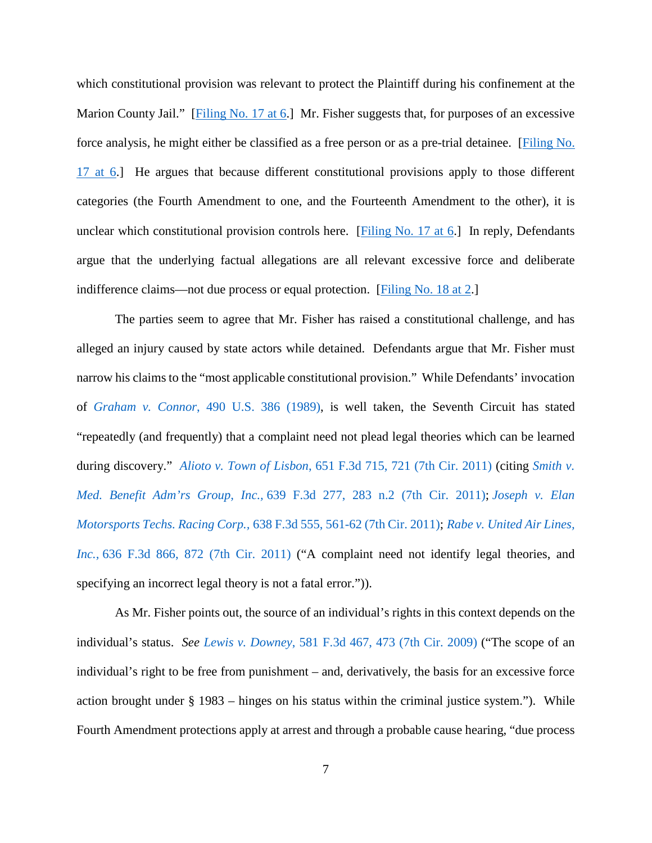which constitutional provision was relevant to protect the Plaintiff during his confinement at the Marion County Jail." [\[Filing No. 17 at 6.](https://ecf.insd.uscourts.gov/doc1/07316643640?page=6)] Mr. Fisher suggests that, for purposes of an excessive force analysis, he might either be classified as a free person or as a pre-trial detainee. [\[Filing No.](https://ecf.insd.uscourts.gov/doc1/07316643640?page=6)  [17 at 6.](https://ecf.insd.uscourts.gov/doc1/07316643640?page=6)] He argues that because different constitutional provisions apply to those different categories (the Fourth Amendment to one, and the Fourteenth Amendment to the other), it is unclear which constitutional provision controls here. [\[Filing No. 17 at 6.](https://ecf.insd.uscourts.gov/doc1/07316643640?page=6)] In reply, Defendants argue that the underlying factual allegations are all relevant excessive force and deliberate indifference claims—not due process or equal protection. [\[Filing No. 18 at 2.](https://ecf.insd.uscourts.gov/doc1/07316653799?page=2)]

The parties seem to agree that Mr. Fisher has raised a constitutional challenge, and has alleged an injury caused by state actors while detained. Defendants argue that Mr. Fisher must narrow his claims to the "most applicable constitutional provision." While Defendants' invocation of *Graham v. Connor*[, 490 U.S. 386 \(1989\),](https://www.westlaw.com/Document/I618a40be9c1f11d9bc61beebb95be672/View/FullText.html?transitionType=Default&contextData=(sc.Default)&VR=3.0&RS=da3.0) is well taken, the Seventh Circuit has stated "repeatedly (and frequently) that a complaint need not plead legal theories which can be learned during discovery." *Alioto v. Town of Lisbon*[, 651 F.3d 715, 721 \(7th Cir. 2011\)](https://www.westlaw.com/Document/Iae021ea3a8e011e090e590fe1745b4c9/View/FullText.html?transitionType=Default&contextData=(sc.Default)&VR=3.0&RS=da3.0&fragmentIdentifier=co_pp_sp_506_721) (citing *[Smith v.](https://www.westlaw.com/Document/Ib67e3f5050b311e0a982f2e73586a872/View/FullText.html?transitionType=Default&contextData=(sc.Default)&VR=3.0&RS=da3.0&fragmentIdentifier=co_pp_sp_506_283+n.2)  Med. Benefit Adm'rs Group, Inc.,* [639 F.3d 277, 283 n.2 \(7th Cir. 2011\);](https://www.westlaw.com/Document/Ib67e3f5050b311e0a982f2e73586a872/View/FullText.html?transitionType=Default&contextData=(sc.Default)&VR=3.0&RS=da3.0&fragmentIdentifier=co_pp_sp_506_283+n.2) *[Joseph v. Elan](https://www.westlaw.com/Document/I118853f74e4211e0b931b80af77abaf1/View/FullText.html?transitionType=Default&contextData=(sc.Default)&VR=3.0&RS=da3.0&fragmentIdentifier=co_pp_sp_506_561)  Motorsports Techs. Racing Corp.,* [638 F.3d 555, 561-62 \(7th Cir. 2011\);](https://www.westlaw.com/Document/I118853f74e4211e0b931b80af77abaf1/View/FullText.html?transitionType=Default&contextData=(sc.Default)&VR=3.0&RS=da3.0&fragmentIdentifier=co_pp_sp_506_561) *[Rabe v. United Air Lines,](https://www.westlaw.com/Document/I398d8af4433511e0b931b80af77abaf1/View/FullText.html?transitionType=Default&contextData=(sc.Default)&VR=3.0&RS=da3.0&fragmentIdentifier=co_pp_sp_506_872)  Inc.,* [636 F.3d 866, 872 \(7th Cir. 2011\)](https://www.westlaw.com/Document/I398d8af4433511e0b931b80af77abaf1/View/FullText.html?transitionType=Default&contextData=(sc.Default)&VR=3.0&RS=da3.0&fragmentIdentifier=co_pp_sp_506_872) ("A complaint need not identify legal theories, and specifying an incorrect legal theory is not a fatal error.")).

As Mr. Fisher points out, the source of an individual's rights in this context depends on the individual's status. *See Lewis v. Downey*[, 581 F.3d 467, 473 \(7th Cir. 2009\)](https://www.westlaw.com/Document/I831cf336996611deabded03f2b83b8a4/View/FullText.html?transitionType=Default&contextData=(sc.Default)&VR=3.0&RS=da3.0&fragmentIdentifier=co_pp_sp_506_473) ("The scope of an individual's right to be free from punishment – and, derivatively, the basis for an excessive force action brought under § 1983 – hinges on his status within the criminal justice system."). While Fourth Amendment protections apply at arrest and through a probable cause hearing, "due process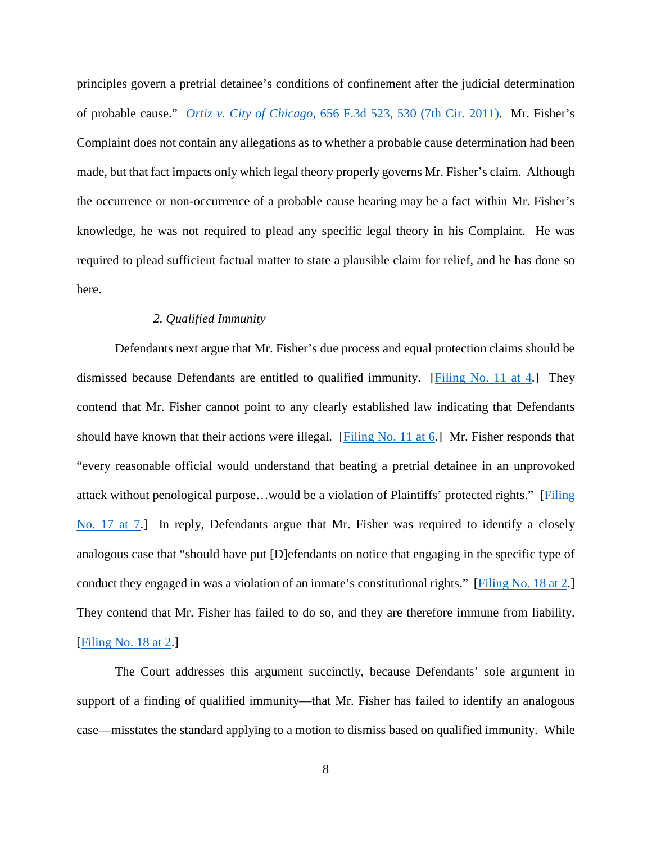principles govern a pretrial detainee's conditions of confinement after the judicial determination of probable cause." *Ortiz v. City of Chicago,* [656 F.3d 523, 530 \(7th Cir. 2011\).](https://www.westlaw.com/Document/Idf052ee3d41711e0a06efc94fb34cdeb/View/FullText.html?transitionType=Default&contextData=(sc.Default)&VR=3.0&RS=da3.0&fragmentIdentifier=co_pp_sp_506_530) Mr. Fisher's Complaint does not contain any allegations as to whether a probable cause determination had been made, but that fact impacts only which legal theory properly governs Mr. Fisher's claim. Although the occurrence or non-occurrence of a probable cause hearing may be a fact within Mr. Fisher's knowledge, he was not required to plead any specific legal theory in his Complaint. He was required to plead sufficient factual matter to state a plausible claim for relief, and he has done so here.

# *2. Qualified Immunity*

Defendants next argue that Mr. Fisher's due process and equal protection claims should be dismissed because Defendants are entitled to qualified immunity. [\[Filing No. 11 at 4.](https://ecf.insd.uscourts.gov/doc1/07316566756?page=4)] They contend that Mr. Fisher cannot point to any clearly established law indicating that Defendants should have known that their actions were illegal. [\[Filing No. 11 at 6.](https://ecf.insd.uscourts.gov/doc1/07316566756?page=6)] Mr. Fisher responds that "every reasonable official would understand that beating a pretrial detainee in an unprovoked attack without penological purpose…would be a violation of Plaintiffs' protected rights." [\[Filing](https://ecf.insd.uscourts.gov/doc1/07316643640?page=7)  [No. 17 at 7.](https://ecf.insd.uscourts.gov/doc1/07316643640?page=7)] In reply, Defendants argue that Mr. Fisher was required to identify a closely analogous case that "should have put [D]efendants on notice that engaging in the specific type of conduct they engaged in was a violation of an inmate's constitutional rights." [\[Filing No. 18 at 2.](https://ecf.insd.uscourts.gov/doc1/07316653799?page=2)] They contend that Mr. Fisher has failed to do so, and they are therefore immune from liability. [\[Filing No. 18 at 2.](https://ecf.insd.uscourts.gov/doc1/07316653799?page=2)]

The Court addresses this argument succinctly, because Defendants' sole argument in support of a finding of qualified immunity—that Mr. Fisher has failed to identify an analogous case—misstates the standard applying to a motion to dismiss based on qualified immunity. While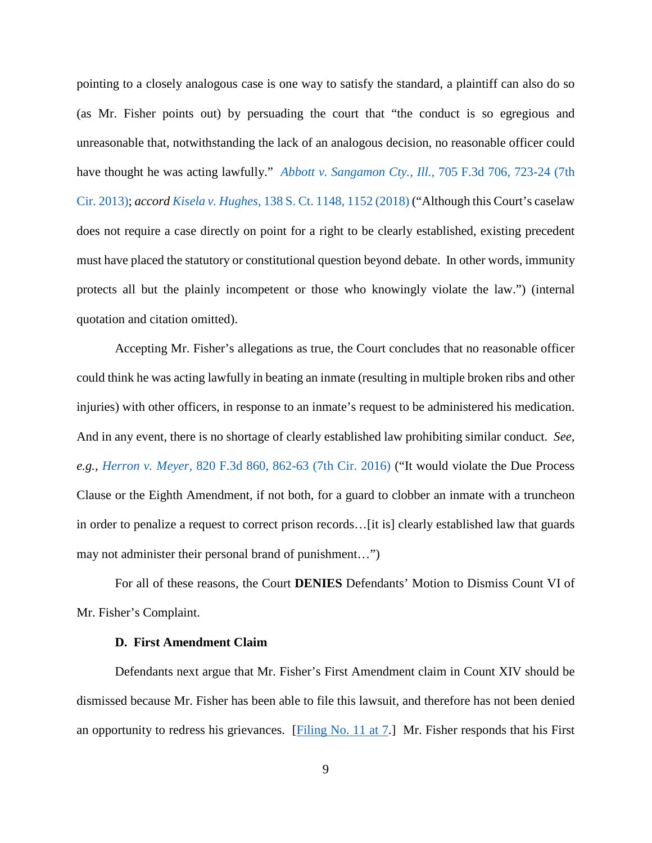pointing to a closely analogous case is one way to satisfy the standard, a plaintiff can also do so (as Mr. Fisher points out) by persuading the court that "the conduct is so egregious and unreasonable that, notwithstanding the lack of an analogous decision, no reasonable officer could have thought he was acting lawfully." *[Abbott v. Sangamon Cty., Ill.](https://www.westlaw.com/Document/I8193d2736a2c11e2a531ef6793d44951/View/FullText.html?transitionType=Default&contextData=(sc.Default)&VR=3.0&RS=da3.0&fragmentIdentifier=co_pp_sp_506_723)*, 705 F.3d 706, 723-24 (7th [Cir. 2013\);](https://www.westlaw.com/Document/I8193d2736a2c11e2a531ef6793d44951/View/FullText.html?transitionType=Default&contextData=(sc.Default)&VR=3.0&RS=da3.0&fragmentIdentifier=co_pp_sp_506_723) *accord Kisela v. Hughes*[, 138 S. Ct. 1148, 1152 \(2018\)](https://www.westlaw.com/Document/Ib2891508367211e8bbbcd57aa014637b/View/FullText.html?transitionType=Default&contextData=(sc.Default)&VR=3.0&RS=da3.0&fragmentIdentifier=co_pp_sp_708_1152) ("Although this Court's caselaw does not require a case directly on point for a right to be clearly established, existing precedent must have placed the statutory or constitutional question beyond debate. In other words, immunity protects all but the plainly incompetent or those who knowingly violate the law.") (internal quotation and citation omitted).

Accepting Mr. Fisher's allegations as true, the Court concludes that no reasonable officer could think he was acting lawfully in beating an inmate (resulting in multiple broken ribs and other injuries) with other officers, in response to an inmate's request to be administered his medication. And in any event, there is no shortage of clearly established law prohibiting similar conduct. *See, e.g., Herron v. Meyer*[, 820 F.3d 860, 862-63 \(7th Cir. 2016\)](https://www.westlaw.com/Document/Ia70d62f80b2011e690d4edf60ce7d742/View/FullText.html?transitionType=Default&contextData=(sc.Default)&VR=3.0&RS=da3.0&fragmentIdentifier=co_pp_sp_506_862) ("It would violate the Due Process Clause or the Eighth Amendment, if not both, for a guard to clobber an inmate with a truncheon in order to penalize a request to correct prison records…[it is] clearly established law that guards may not administer their personal brand of punishment…")

For all of these reasons, the Court **DENIES** Defendants' Motion to Dismiss Count VI of Mr. Fisher's Complaint.

## **D.****First Amendment Claim**

Defendants next argue that Mr. Fisher's First Amendment claim in Count XIV should be dismissed because Mr. Fisher has been able to file this lawsuit, and therefore has not been denied an opportunity to redress his grievances. [\[Filing No. 11 at 7.](https://ecf.insd.uscourts.gov/doc1/07316566756?page=7)] Mr. Fisher responds that his First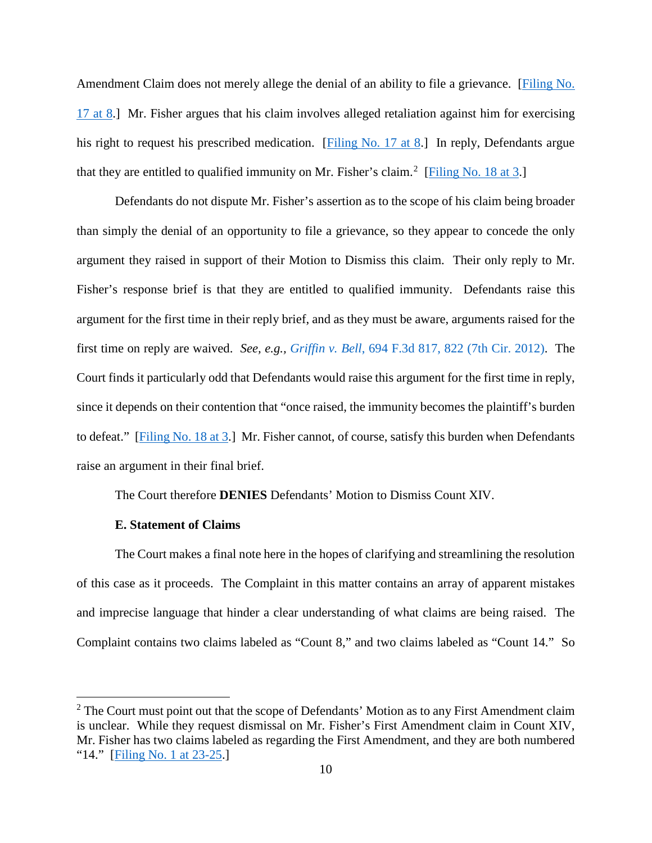Amendment Claim does not merely allege the denial of an ability to file a grievance. [\[Filing No.](https://ecf.insd.uscourts.gov/doc1/07316643640?page=8)  [17 at 8.](https://ecf.insd.uscourts.gov/doc1/07316643640?page=8)] Mr. Fisher argues that his claim involves alleged retaliation against him for exercising his right to request his prescribed medication. [\[Filing No. 17 at 8.](https://ecf.insd.uscourts.gov/doc1/07316643640?page=8)] In reply, Defendants argue that they are entitled to qualified immunity on Mr. Fisher's claim.<sup>[2](#page-9-0)</sup> [\[Filing No. 18 at 3.](https://ecf.insd.uscourts.gov/doc1/07316653799?page=3)]

Defendants do not dispute Mr. Fisher's assertion as to the scope of his claim being broader than simply the denial of an opportunity to file a grievance, so they appear to concede the only argument they raised in support of their Motion to Dismiss this claim. Their only reply to Mr. Fisher's response brief is that they are entitled to qualified immunity. Defendants raise this argument for the first time in their reply brief, and as they must be aware, arguments raised for the first time on reply are waived. *See, e.g., Griffin v. Bell*[, 694 F.3d 817, 822 \(7th Cir. 2012\).](https://www.westlaw.com/Document/I415570c6fcee11e1b66bbd5332e2d275/View/FullText.html?transitionType=Default&contextData=(sc.Default)&VR=3.0&RS=da3.0&fragmentIdentifier=co_pp_sp_506_822) The Court finds it particularly odd that Defendants would raise this argument for the first time in reply, since it depends on their contention that "once raised, the immunity becomes the plaintiff's burden to defeat." [\[Filing No. 18 at 3.](https://ecf.insd.uscourts.gov/doc1/07316653799?page=3)] Mr. Fisher cannot, of course, satisfy this burden when Defendants raise an argument in their final brief.

The Court therefore **DENIES** Defendants' Motion to Dismiss Count XIV.

### **E. Statement of Claims**

The Court makes a final note here in the hopes of clarifying and streamlining the resolution of this case as it proceeds. The Complaint in this matter contains an array of apparent mistakes and imprecise language that hinder a clear understanding of what claims are being raised. The Complaint contains two claims labeled as "Count 8," and two claims labeled as "Count 14." So

<span id="page-9-0"></span> $2$  The Court must point out that the scope of Defendants' Motion as to any First Amendment claim is unclear. While they request dismissal on Mr. Fisher's First Amendment claim in Count XIV, Mr. Fisher has two claims labeled as regarding the First Amendment, and they are both numbered "14." [\[Filing No. 1 at 23-25.](https://ecf.insd.uscourts.gov/doc1/07316453968?page=23)]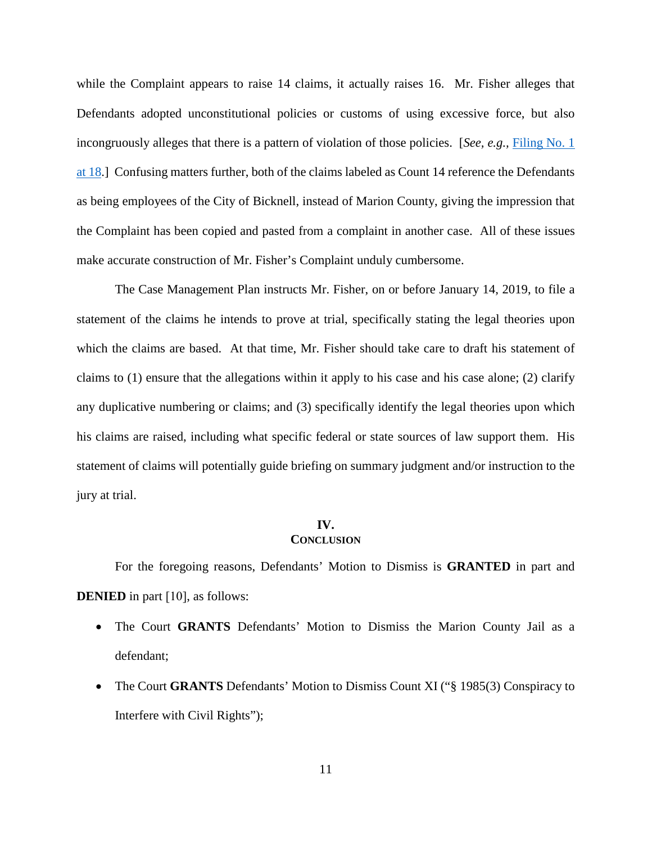while the Complaint appears to raise 14 claims, it actually raises 16. Mr. Fisher alleges that Defendants adopted unconstitutional policies or customs of using excessive force, but also incongruously alleges that there is a pattern of violation of those policies. [*See, e.g.,* [Filing No. 1](https://ecf.insd.uscourts.gov/doc1/07316453968?page=18)  [at 18.](https://ecf.insd.uscourts.gov/doc1/07316453968?page=18)] Confusing matters further, both of the claims labeled as Count 14 reference the Defendants as being employees of the City of Bicknell, instead of Marion County, giving the impression that the Complaint has been copied and pasted from a complaint in another case. All of these issues make accurate construction of Mr. Fisher's Complaint unduly cumbersome.

The Case Management Plan instructs Mr. Fisher, on or before January 14, 2019, to file a statement of the claims he intends to prove at trial, specifically stating the legal theories upon which the claims are based. At that time, Mr. Fisher should take care to draft his statement of claims to (1) ensure that the allegations within it apply to his case and his case alone; (2) clarify any duplicative numbering or claims; and (3) specifically identify the legal theories upon which his claims are raised, including what specific federal or state sources of law support them. His statement of claims will potentially guide briefing on summary judgment and/or instruction to the jury at trial.

#### **IV.**

### **CONCLUSION**

For the foregoing reasons, Defendants' Motion to Dismiss is **GRANTED** in part and **DENIED** in part [10], as follows:

- The Court **GRANTS** Defendants' Motion to Dismiss the Marion County Jail as a defendant;
- The Court **GRANTS** Defendants' Motion to Dismiss Count XI ("§ 1985(3) Conspiracy to Interfere with Civil Rights");